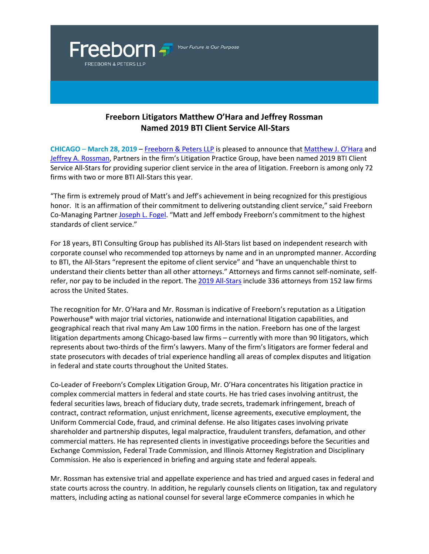Your Future Is Our Purpose

Freeborn <del>-</del>

**FREEBORN & PETERS LLP** 

## **Freeborn Litigators Matthew O'Hara and Jeffrey Rossman Named 2019 BTI Client Service All-Stars**

**CHICAGO** – **March 28, 2019** – [Freeborn & Peters LLP](http://www.freeborn.com/) is pleased to announce that [Matthew J. O'Hara](https://www.freeborn.com/attorney/matthew-j-ohara) and [Jeffrey A. Rossman,](https://www.freeborn.com/attorney/jeffrey-rossman) Partners in the firm's Litigation Practice Group, have been named 2019 BTI Client Service All-Stars for providing superior client service in the area of litigation. Freeborn is among only 72 firms with two or more BTI All-Stars this year.

"The firm is extremely proud of Matt's and Jeff's achievement in being recognized for this prestigious honor. It is an affirmation of their commitment to delivering outstanding client service," said Freeborn Co-Managing Partner [Joseph L. Fogel.](https://www.freeborn.com/attorney/joseph-l-fogel) "Matt and Jeff embody Freeborn's commitment to the highest standards of client service."

For 18 years, BTI Consulting Group has published its All-Stars list based on independent research with corporate counsel who recommended top attorneys by name and in an unprompted manner. According to BTI, the All-Stars "represent the epitome of client service" and "have an unquenchable thirst to understand their clients better than all other attorneys." Attorneys and firms cannot self-nominate, selfrefer, nor pay to be included in the report. The [2019 All-Stars](https://www.bticonsulting.com/attorneys-the-bti-all-stars) include 336 attorneys from 152 law firms across the United States.

The recognition for Mr. O'Hara and Mr. Rossman is indicative of Freeborn's reputation as a Litigation Powerhouse® with major trial victories, nationwide and international litigation capabilities, and geographical reach that rival many Am Law 100 firms in the nation. Freeborn has one of the largest litigation departments among Chicago-based law firms – currently with more than 90 litigators, which represents about two-thirds of the firm's lawyers. Many of the firm's litigators are former federal and state prosecutors with decades of trial experience handling all areas of complex disputes and litigation in federal and state courts throughout the United States.

Co-Leader of Freeborn's Complex Litigation Group, Mr. O'Hara concentrates his litigation practice in complex commercial matters in federal and state courts. He has tried cases involving antitrust, the federal securities laws, breach of fiduciary duty, trade secrets, trademark infringement, breach of contract, contract reformation, unjust enrichment, license agreements, executive employment, the Uniform Commercial Code, fraud, and criminal defense. He also litigates cases involving private shareholder and partnership disputes, legal malpractice, fraudulent transfers, defamation, and other commercial matters. He has represented clients in investigative proceedings before the Securities and Exchange Commission, Federal Trade Commission, and Illinois Attorney Registration and Disciplinary Commission. He also is experienced in briefing and arguing state and federal appeals.

Mr. Rossman has extensive trial and appellate experience and has tried and argued cases in federal and state courts across the country. In addition, he regularly counsels clients on litigation, tax and regulatory matters, including acting as national counsel for several large eCommerce companies in which he